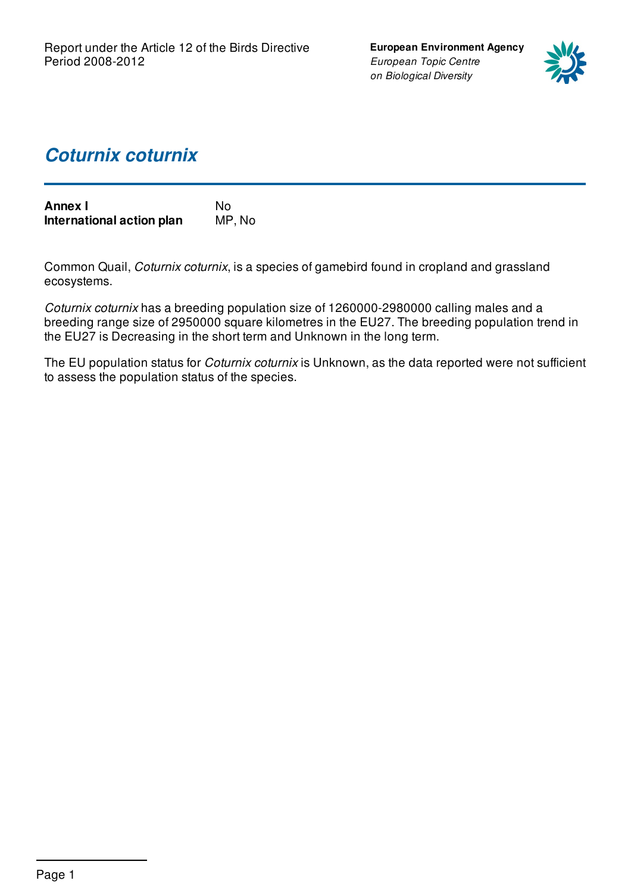**European Environment Agency** *European Topic Centre on Biological Diversity*



## *Coturnix coturnix*

| <b>Annex I</b>            | No.    |
|---------------------------|--------|
| International action plan | MP, No |

Common Quail, *Coturnix coturnix*, is a species of gamebird found in cropland and grassland ecosystems.

*Coturnix coturnix* has a breeding population size of 1260000-2980000 calling males and a breeding range size of 2950000 square kilometres in the EU27. The breeding population trend in the EU27 is Decreasing in the short term and Unknown in the long term.

The EU population status for *Coturnix coturnix* is Unknown, as the data reported were not sufficient to assess the population status of the species.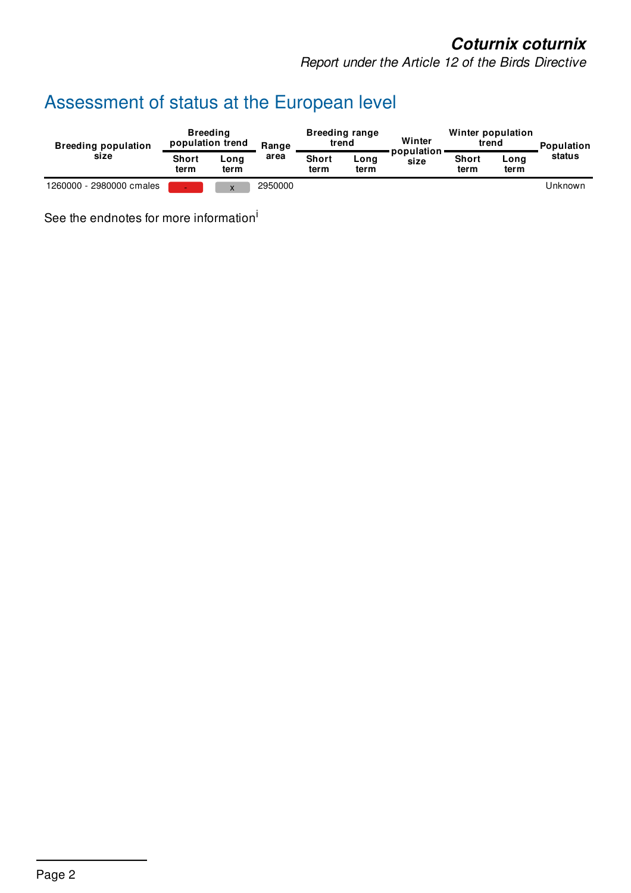*Report under the Article 12 of the Birds Directive*

# Assessment of status at the European level

| <b>Breeding population</b> |                      | <b>Breeding</b><br>population trend | Range   | trend                | <b>Breeding range</b> | Winter               | Winter population<br>trend |              | Population |
|----------------------------|----------------------|-------------------------------------|---------|----------------------|-----------------------|----------------------|----------------------------|--------------|------------|
| size                       | <b>Short</b><br>term | Long<br>term                        | area    | <b>Short</b><br>term | Long<br>term          | population ·<br>size | <b>Short</b><br>term       | Long<br>term | status     |
| 1260000 - 2980000 cmales   | $\sim$               | X                                   | 2950000 |                      |                       |                      |                            |              | Unknown    |

See the endnotes for more information<sup>i</sup>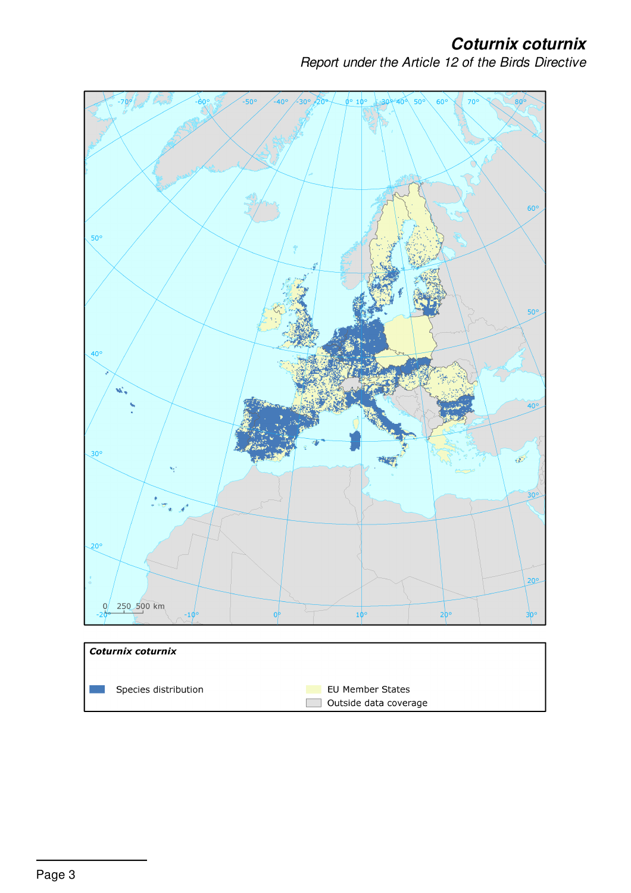*Report under the Article 12 of the Birds Directive*



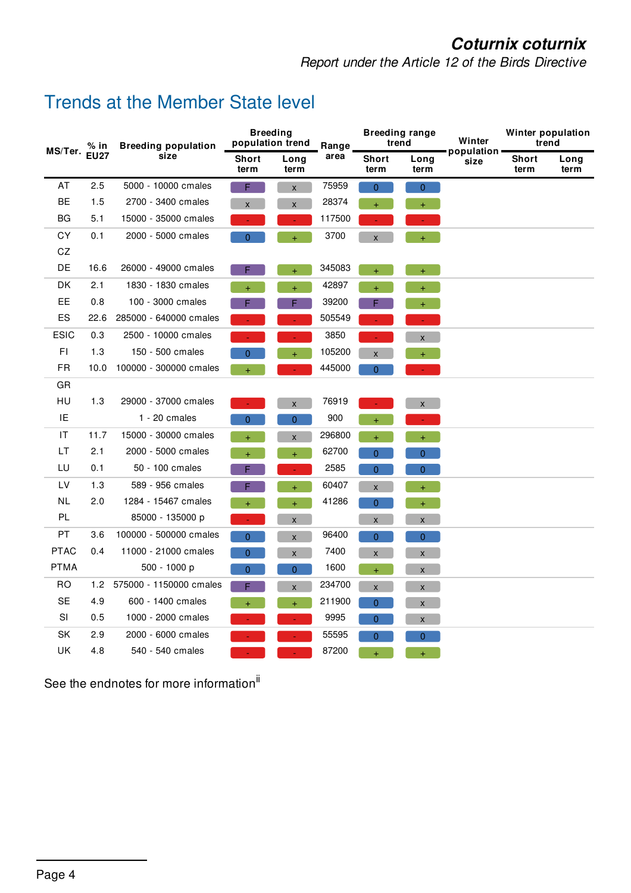*Report under the Article 12 of the Birds Directive*

### Trends at the Member State level

| % in<br>MS/Ter. |             | <b>Breeding population</b> |                      | <b>Breeding</b><br>population trend | Range  | <b>Breeding range</b><br>trend |                | Winter               | Winter population<br>trend |              |
|-----------------|-------------|----------------------------|----------------------|-------------------------------------|--------|--------------------------------|----------------|----------------------|----------------------------|--------------|
|                 | <b>EU27</b> | size                       | <b>Short</b><br>term | Long<br>term                        | area   | <b>Short</b><br>term           | Long<br>term   | population ·<br>size | <b>Short</b><br>term       | Long<br>term |
| AT              | 2.5         | 5000 - 10000 cmales        | F                    | $\pmb{\mathsf{X}}$                  | 75959  | $\mathbf{0}$                   | $\overline{0}$ |                      |                            |              |
| <b>BE</b>       | 1.5         | 2700 - 3400 cmales         | X                    | $\mathsf{x}$                        | 28374  |                                | $+$            |                      |                            |              |
| <b>BG</b>       | 5.1         | 15000 - 35000 cmales       |                      |                                     | 117500 |                                |                |                      |                            |              |
| <b>CY</b>       | 0.1         | 2000 - 5000 cmales         | $\overline{0}$       | $+$                                 | 3700   | $\pmb{\mathsf{X}}$             | $+$            |                      |                            |              |
| CZ              |             |                            |                      |                                     |        |                                |                |                      |                            |              |
| DE              | 16.6        | 26000 - 49000 cmales       |                      | $\ddot{}$                           | 345083 | $\ddot{}$                      | $\ddot{}$      |                      |                            |              |
| DK              | 2.1         | 1830 - 1830 cmales         | $+$                  | $+$                                 | 42897  | $+$                            | $+$            |                      |                            |              |
| EE.             | 0.8         | 100 - 3000 cmales          |                      | F.                                  | 39200  | F.                             | $+$            |                      |                            |              |
| ES              | 22.6        | 285000 - 640000 cmales     |                      |                                     | 505549 |                                |                |                      |                            |              |
| <b>ESIC</b>     | 0.3         | 2500 - 10000 cmales        |                      | $\blacksquare$                      | 3850   |                                | X              |                      |                            |              |
| F1              | 1.3         | 150 - 500 cmales           | 0                    | $+$                                 | 105200 | $\mathsf{x}$                   | $+$            |                      |                            |              |
| <b>FR</b>       | 10.0        | 100000 - 300000 cmales     | Ŧ.                   |                                     | 445000 | $\overline{0}$                 |                |                      |                            |              |
| GR              |             |                            |                      |                                     |        |                                |                |                      |                            |              |
| HU              | 1.3         | 29000 - 37000 cmales       |                      | $\pmb{\mathsf{X}}$                  | 76919  |                                | $\pmb{\times}$ |                      |                            |              |
| IE              |             | $1 - 20$ cmales            | $\overline{0}$       | $\overline{0}$                      | 900    |                                |                |                      |                            |              |
| IT              | 11.7        | 15000 - 30000 cmales       | $+$                  | $\mathsf{x}$                        | 296800 | $+$                            | $+$            |                      |                            |              |
| LT.             | 2.1         | 2000 - 5000 cmales         | $\ddot{}$            | $+$                                 | 62700  | $\Omega$                       | $\overline{0}$ |                      |                            |              |
| LU              | 0.1         | 50 - 100 cmales            |                      |                                     | 2585   | $\mathbf{0}$                   | 0              |                      |                            |              |
| LV              | 1.3         | 589 - 956 cmales           | F                    | $+$                                 | 60407  | $\mathsf{x}$                   | $+$            |                      |                            |              |
| NL              | 2.0         | 1284 - 15467 cmales        | Ŧ.                   | $+$                                 | 41286  | $\overline{0}$                 | $+$            |                      |                            |              |
| PL              |             | 85000 - 135000 p           |                      | $\pmb{\mathsf{X}}$                  |        | $\pmb{\mathsf{X}}$             | X              |                      |                            |              |
| <b>PT</b>       | 3.6         | 100000 - 500000 cmales     | $\overline{0}$       | $\pmb{\mathsf{X}}$                  | 96400  | $\overline{0}$                 | $\mathbf{0}$   |                      |                            |              |
| <b>PTAC</b>     | 0.4         | 11000 - 21000 cmales       | $\overline{0}$       | $\mathsf{x}$                        | 7400   | $\pmb{\mathsf{X}}$             | $\mathsf{x}$   |                      |                            |              |
| <b>PTMA</b>     |             | 500 - 1000 p               | 0                    | $\pmb{0}$                           | 1600   | $\ddot{}$                      | X              |                      |                            |              |
| <b>RO</b>       | 1.2         | 575000 - 1150000 cmales    | F                    | $\pmb{\mathsf{X}}$                  | 234700 | $\pmb{\mathsf{X}}$             | $\mathsf{X}$   |                      |                            |              |
| <b>SE</b>       | 4.9         | 600 - 1400 cmales          | Ŧ.                   | $+$                                 | 211900 | $\Omega$                       | X              |                      |                            |              |
| SI              | 0.5         | 1000 - 2000 cmales         |                      |                                     | 9995   | $\mathbf{0}$                   | X              |                      |                            |              |
| SK              | 2.9         | 2000 - 6000 cmales         |                      |                                     | 55595  | $\mathbf{0}$                   | $\mathbf{0}$   |                      |                            |              |
| <b>UK</b>       | 4.8         | 540 - 540 cmales           |                      |                                     | 87200  |                                |                |                      |                            |              |

See the endnotes for more information<sup>ii</sup>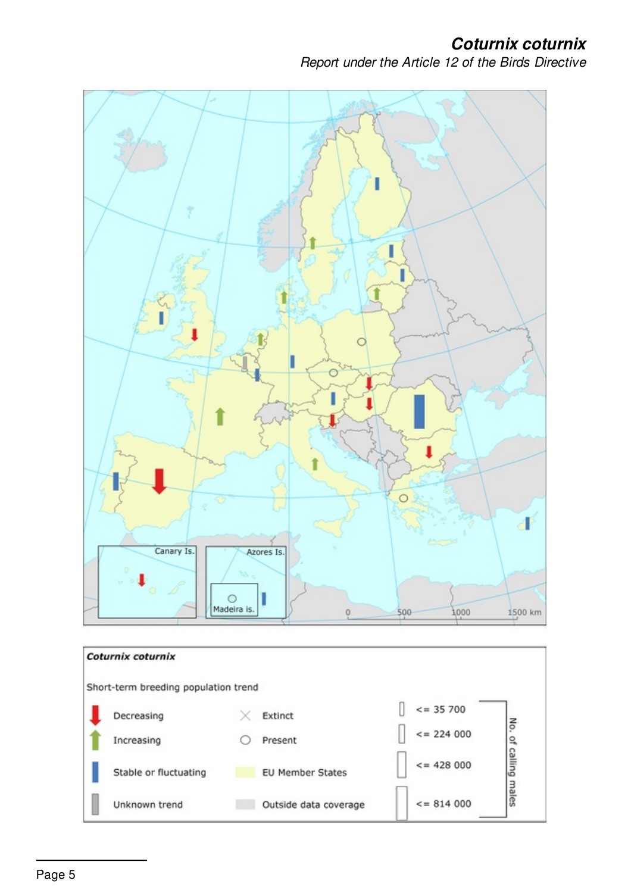*Report under the Article 12 of the Birds Directive*

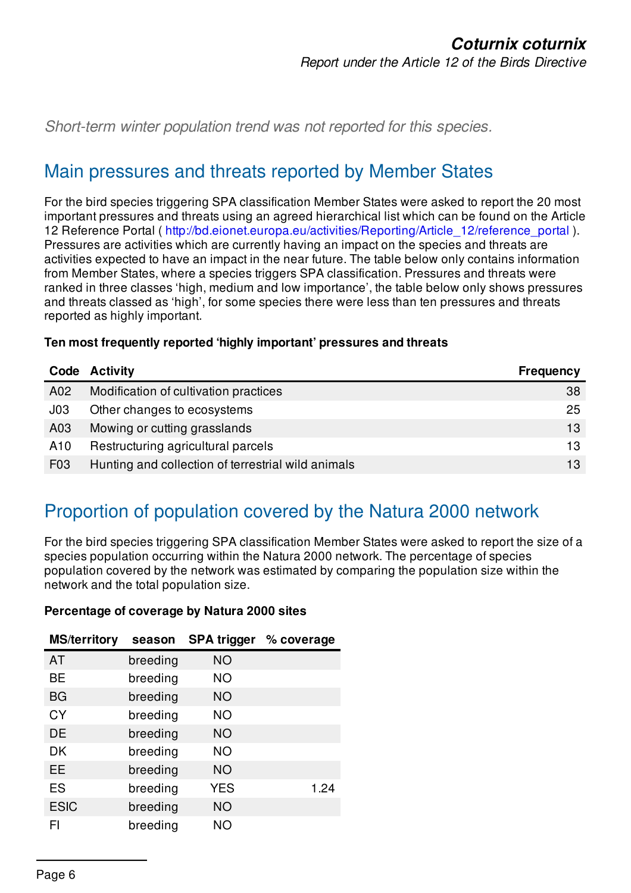*Short-term winter population trend was not reported for this species.*

#### Main pressures and threats reported by Member States

For the bird species triggering SPA classification Member States were asked to report the 20 most important pressures and threats using an agreed hierarchical list which can be found on the Article 12 Reference Portal ( [http://bd.eionet.europa.eu/activities/Reporting/Article\\_12/reference\\_portal](http://bd.eionet.europa.eu/activities/Reporting/Article_12/reference_portal) ). Pressures are activities which are currently having an impact on the species and threats are activities expected to have an impact in the near future. The table below only contains information from Member States, where a species triggers SPA classification. Pressures and threats were ranked in three classes 'high, medium and low importance', the table below only shows pressures and threats classed as 'high', for some species there were less than ten pressures and threats reported as highly important.

| Ten most frequently reported 'highly important' pressures and threats |  |  |  |  |  |
|-----------------------------------------------------------------------|--|--|--|--|--|
|-----------------------------------------------------------------------|--|--|--|--|--|

| Code             | Activity                                           | <b>Frequency</b> |
|------------------|----------------------------------------------------|------------------|
| A02              | Modification of cultivation practices              | 38               |
| J <sub>03</sub>  | Other changes to ecosystems                        | 25               |
| A03              | Mowing or cutting grasslands                       | 13               |
| A10              | Restructuring agricultural parcels                 | 13               |
| F <sub>0</sub> 3 | Hunting and collection of terrestrial wild animals | 13               |

## Proportion of population covered by the Natura 2000 network

For the bird species triggering SPA classification Member States were asked to report the size of a species population occurring within the Natura 2000 network. The percentage of species population covered by the network was estimated by comparing the population size within the network and the total population size.

#### **Percentage of coverage by Natura 2000 sites**

| <b>MS/territory</b> | season   | <b>SPA trigger</b> | % coverage |
|---------------------|----------|--------------------|------------|
| AT                  | breeding | <b>NO</b>          |            |
| <b>BE</b>           | breeding | <b>NO</b>          |            |
| BG                  | breeding | NO.                |            |
| CY                  | breeding | <b>NO</b>          |            |
| DE                  | breeding | NO.                |            |
| DK                  | breeding | <b>NO</b>          |            |
| EE                  | breeding | <b>NO</b>          |            |
| ES                  | breeding | <b>YES</b>         | 1.24       |
| <b>ESIC</b>         | breeding | <b>NO</b>          |            |
| FI                  | breeding | NΟ                 |            |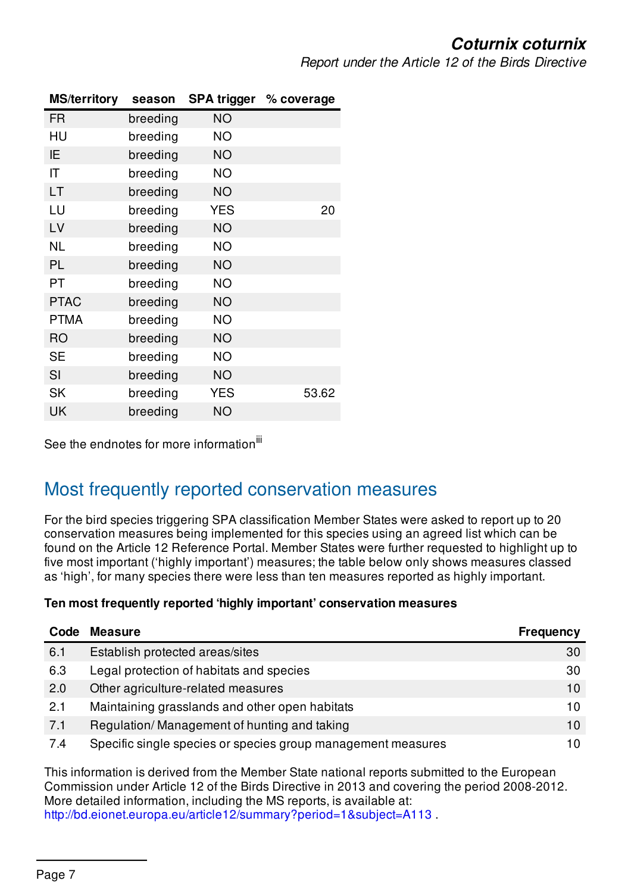*Report under the Article 12 of the Birds Directive*

| <b>MS/territory</b>    | season   |            | SPA trigger % coverage |
|------------------------|----------|------------|------------------------|
| <b>FR</b>              | breeding | <b>NO</b>  |                        |
| HU                     | breeding | <b>NO</b>  |                        |
| IE                     | breeding | <b>NO</b>  |                        |
| $\mathsf{I}\mathsf{T}$ | breeding | <b>NO</b>  |                        |
| LT                     | breeding | <b>NO</b>  |                        |
| LU                     | breeding | <b>YES</b> | 20                     |
| LV                     | breeding | <b>NO</b>  |                        |
| <b>NL</b>              | breeding | ΝO         |                        |
| PL                     | breeding | <b>NO</b>  |                        |
| PT                     | breeding | <b>NO</b>  |                        |
| <b>PTAC</b>            | breeding | <b>NO</b>  |                        |
| <b>PTMA</b>            | breeding | <b>NO</b>  |                        |
| <b>RO</b>              | breeding | <b>NO</b>  |                        |
| <b>SE</b>              | breeding | <b>NO</b>  |                        |
| SI                     | breeding | <b>NO</b>  |                        |
| <b>SK</b>              | breeding | <b>YES</b> | 53.62                  |
| UK                     | breeding | <b>NO</b>  |                        |

See the endnotes for more information<sup>iii</sup>

#### Most frequently reported conservation measures

For the bird species triggering SPA classification Member States were asked to report up to 20 conservation measures being implemented for this species using an agreed list which can be found on the Article 12 Reference Portal. Member States were further requested to highlight up to five most important ('highly important') measures; the table below only shows measures classed as 'high', for many species there were less than ten measures reported as highly important.

#### **Ten most frequently reported 'highly important' conservation measures**

| Code | <b>Measure</b>                                               | <b>Frequency</b> |
|------|--------------------------------------------------------------|------------------|
| 6.1  | Establish protected areas/sites                              | 30               |
| 6.3  | Legal protection of habitats and species                     | 30               |
| 2.0  | Other agriculture-related measures                           | 10               |
| 2.1  | Maintaining grasslands and other open habitats               | 10               |
| 7.1  | Regulation/Management of hunting and taking                  | 10               |
| 7.4  | Specific single species or species group management measures | 10               |

This information is derived from the Member State national reports submitted to the European Commission under Article 12 of the Birds Directive in 2013 and covering the period 2008-2012. More detailed information, including the MS reports, is available at: <http://bd.eionet.europa.eu/article12/summary?period=1&subject=A113>.